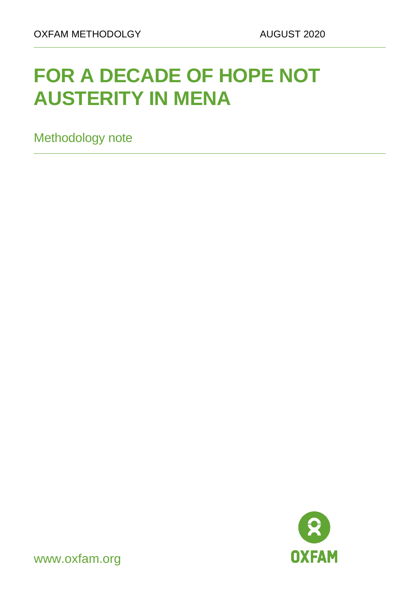# **FOR A DECADE OF HOPE NOT AUSTERITY IN MENA**

Methodology note



www.oxfam.org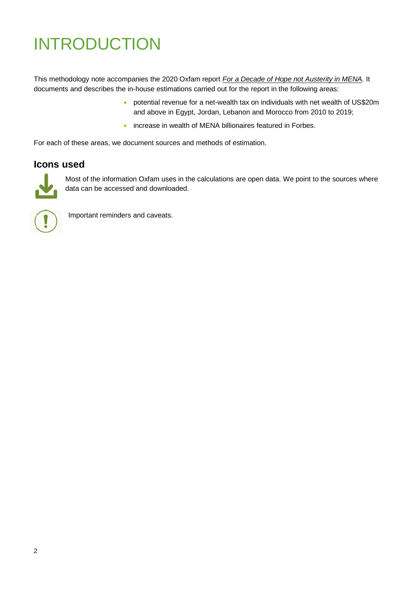## INTRODUCTION

This methodology note accompanies the 2020 Oxfam report *[For a Decade of Hope not Austerity in MENA.](https://hdl.handle.net/10546/621041)* It documents and describes the in-house estimations carried out for the report in the following areas:

- potential revenue for a net-wealth tax on individuals with net wealth of US\$20m and above in Egypt, Jordan, Lebanon and Morocco from 2010 to 2019;
- increase in wealth of MENA billionaires featured in Forbes.

For each of these areas, we document sources and methods of estimation.

#### **Icons used**



Most of the information Oxfam uses in the calculations are open data. We point to the sources where data can be accessed and downloaded.



Important reminders and caveats.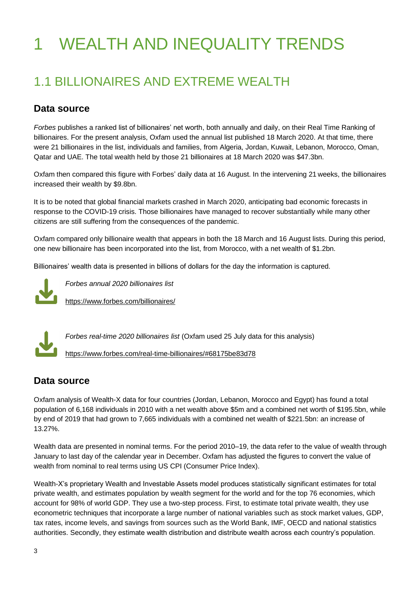# WEALTH AND INEQUALITY TRENDS

## 1.1 BILLIONAIRES AND EXTREME WEALTH

### **Data source**

*Forbes* publishes a ranked list of billionaires' net worth, both annually and daily, on their Real Time Ranking of billionaires. For the present analysis, Oxfam used the annual list published 18 March 2020. At that time, there were 21 billionaires in the list, individuals and families, from Algeria, Jordan, Kuwait, Lebanon, Morocco, Oman, Qatar and UAE. The total wealth held by those 21 billionaires at 18 March 2020 was \$47.3bn.

Oxfam then compared this figure with Forbes' daily data at 16 August. In the intervening 21 weeks, the billionaires increased their wealth by \$9.8bn.

It is to be noted that global financial markets crashed in March 2020, anticipating bad economic forecasts in response to the COVID-19 crisis. Those billionaires have managed to recover substantially while many other citizens are still suffering from the consequences of the pandemic.

Oxfam compared only billionaire wealth that appears in both the 18 March and 16 August lists. During this period, one new billionaire has been incorporated into the list, from Morocco, with a net wealth of \$1.2bn.

Billionaires' wealth data is presented in billions of dollars for the day the information is captured.



*Forbes annual 2020 billionaires list* <https://www.forbes.com/billionaires/>



<https://www.forbes.com/real-time-billionaires/#68175be83d78>

### **Data source**

Oxfam analysis of Wealth-X data for four countries (Jordan, Lebanon, Morocco and Egypt) has found a total population of 6,168 individuals in 2010 with a net wealth above \$5m and a combined net worth of \$195.5bn, while by end of 2019 that had grown to 7,665 individuals with a combined net wealth of \$221.5bn: an increase of 13.27%.

Wealth data are presented in nominal terms. For the period 2010–19, the data refer to the value of wealth through January to last day of the calendar year in December. Oxfam has adjusted the figures to convert the value of wealth from nominal to real terms using US CPI (Consumer Price Index).

Wealth-X's proprietary Wealth and Investable Assets model produces statistically significant estimates for total private wealth, and estimates population by wealth segment for the world and for the top 76 economies, which account for 98% of world GDP. They use a two-step process. First, to estimate total private wealth, they use econometric techniques that incorporate a large number of national variables such as stock market values, GDP, tax rates, income levels, and savings from sources such as the World Bank, IMF, OECD and national statistics authorities. Secondly, they estimate wealth distribution and distribute wealth across each country's population.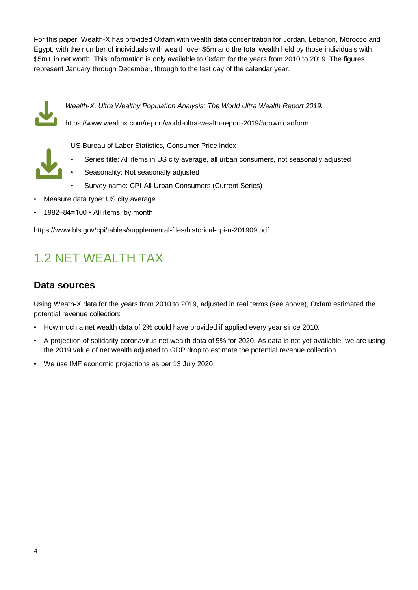For this paper, Wealth-X has provided Oxfam with wealth data concentration for Jordan, Lebanon, Morocco and Egypt, with the number of individuals with wealth over \$5m and the total wealth held by those individuals with \$5m+ in net worth. This information is only available to Oxfam for the years from 2010 to 2019. The figures represent January through December, through to the last day of the calendar year.



*Wealth-X, Ultra Wealthy Population Analysis: The World Ultra Wealth Report 2019.*

<https://www.wealthx.com/report/world-ultra-wealth-report-2019/#downloadform>



- US Bureau of Labor Statistics, Consumer Price Index
	- Series title: All items in US city average, all urban consumers, not seasonally adjusted
- Seasonality: Not seasonally adjusted
- Survey name: CPI-All Urban Consumers (Current Series)
- Measure data type: US city average
- 1982–84=100 All items, by month

https://www.bls.gov/cpi/tables/supplemental-files/historical-cpi-u-201909.pdf

## 1.2 NET WEALTH TAX

#### **Data sources**

Using Weath-X data for the years from 2010 to 2019, adjusted in real terms (see above), Oxfam estimated the potential revenue collection:

- How much a net wealth data of 2% could have provided if applied every year since 2010.
- A projection of solidarity coronavirus net wealth data of 5% for 2020. As data is not yet available, we are using the 2019 value of net wealth adjusted to GDP drop to estimate the potential revenue collection.
- We use IMF economic projections as per 13 July 2020.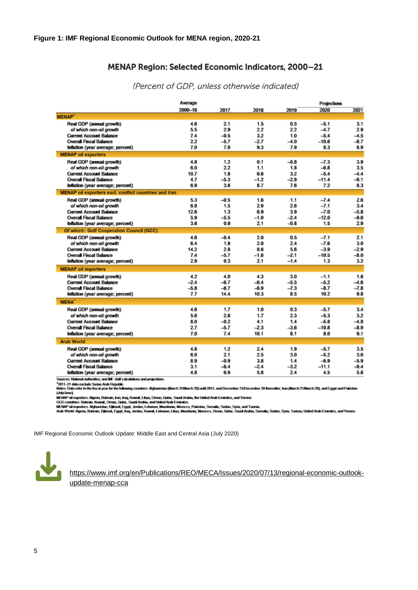#### MENAP Region: Selected Economic Indicators, 2000-21

|                                                              | Average     |        |        | Projections |         |        |
|--------------------------------------------------------------|-------------|--------|--------|-------------|---------|--------|
|                                                              | $2000 - 16$ | 2017   | 2018   | 2019        | 2020    | 2021   |
| <b>MENAP1</b>                                                |             |        |        |             |         |        |
| Real GDP (annual growth)                                     | 4.6         | 2.1    | 1.5    | 0.5         | $-5.1$  | 3.1    |
| of which non-oil growth                                      | 5.5         | 2.9    | 2.2    | 22          | $-4.7$  | 2.9    |
| <b>Current Account Balance</b>                               | 7.4         | $-0.5$ | 3.2    | 1.0         | $-5.4$  | $-4.5$ |
| <b>Overall Fiscal Balance</b>                                | 22          | $-5.7$ | $-2.7$ | $-4.0$      | $-10.6$ | $-8.7$ |
| Inflation (year average; percent)                            | 7.0         | 7.0    | 9.3    | 7.9         | 8.3     | 8.9    |
| <b>MENAP oil exporters</b>                                   |             |        |        |             |         |        |
| Real GDP (annual growth)                                     | 4.8         | 1.2    | 0.1    | $-0.8$      | $-7.3$  | 3.9    |
| of which non-oil growth                                      | 6.0         | 2.2    | 1.1    | 1.8         | $-6.8$  | 3.5    |
| <b>Current Account Balance</b>                               | 10.7        | 1.8    | 6.6    | 3.2         | $-5.4$  | $-4.4$ |
| <b>Overall Fiscal Balance</b>                                | 4.7         | $-5.3$ | $-1.2$ | $-2.9$      | $-11.4$ | $-9.1$ |
| Inflation (year average; percent)                            | 6.9         | 3.6    | 8.7    | 7.6         | 7.2     | 8.3    |
| <b>MENAP oil exporters excl. conflict countries and Iran</b> |             |        |        |             |         |        |
| Real GDP (annual growth)                                     | 5.3         | $-0.5$ | 1.6    | 1.1         | $-7.4$  | 2.6    |
| of which non-oil growth                                      | 6.8         | 1.5    | 20     | 26          | $-7.1$  | 3.4    |
| <b>Current Account Balance</b>                               | 12.6        | 1.3    | 6.9    | 3.9         | $-7.0$  | $-5.8$ |
| <b>Overall Fiscal Balance</b>                                | 5.9         | $-5.5$ | $-1.0$ | $-2.4$      | $-12.0$ | $-9.6$ |
| Inflation (year average; percent)                            | 3.6         | 09     | 2.1    | $-0.8$      | 1.5     | 2.9    |
| <b>Of which: Gulf Cooperation Council (GCC)</b>              |             |        |        |             |         |        |
| Real GDP (annual growth)                                     | 4.6         | $-0.4$ | 20     | 0.5         | $-7.1$  | 2.1    |
| of which non-oil growth                                      | 6.4         | 1.9    | 20     | 24          | $-7.6$  | 3.0    |
| <b>Current Account Balance</b>                               | 14.2        | 28     | 8.6    | 56          | $-3.9$  | $-2.9$ |
| <b>Overall Fiscal Balance</b>                                | 7.4         | $-5.7$ | $-1.6$ | $-2.1$      | $-10.5$ | $-8.0$ |
| Inflation (year average; percent)                            | 2.9         | 0.3    | 2.1    | $-1.4$      | 1.3     | 3.2    |
| <b>MENAP oil importers</b>                                   |             |        |        |             |         |        |
| Real GDP (annual growth)                                     | 4.2         | 4.0    | 4.3    | 3.0         | $-1.1$  | 1.8    |
| <b>Current Account Balance</b>                               | $-2.4$      | $-6.7$ | $-6.4$ | $-5.5$      | $-5.2$  | $-4.6$ |
| <b>Overall Fiscal Balance</b>                                | $-5.8$      | $-6.7$ | $-6.9$ | $-7.3$      | $-8.7$  | $-7.8$ |
| Inflation (year average; percent)                            | 7.7         | 14.4   | 10.3   | 8.5         | 10.2    | 9.8    |
| MENA <sup>1</sup>                                            |             |        |        |             |         |        |
| Real GDP (annual growth)                                     | 4.6         | 1.7    | 1.0    | 0.3         | $-5.7$  | 3.4    |
| of which non-oil growth                                      | 5.6         | 2.6    | 1.7    | 2.3         | $-5.3$  | 3.2    |
| <b>Current Account Balance</b>                               | 8.0         | $-0.2$ | 4.1    | 1.4         | $-5.8$  | $-4.8$ |
| <b>Overall Fiscal Balance</b>                                | 2.7         | $-5.7$ | $-2.3$ | $-3.6$      | $-10.8$ | $-8.9$ |
| Inflation (year average; percent)                            | 7.0         | 7.4    | 10.1   | 8.1         | 8.0     | 9.1    |
| <b>Arab World</b>                                            |             |        |        |             |         |        |
| Real GDP (annual growth)                                     | 4.8         | 1.2    | 24     | 1.9         | $-5.7$  | 3.5    |
| of which non-oil growth                                      | 6.0         | 2.1    | 2.5    | 3.0         | $-5.2$  | 3.0    |
| <b>Current Account Balance</b>                               | 89          | $-0.9$ | 3.8    | 1.4         | $-6.9$  | $-5.9$ |
| <b>Overall Fiscal Balance</b>                                | 3.1         | $-6.4$ | $-24$  | $-3.2$      | $-11.1$ | $-9.4$ |
| Inflation (year average; percent)                            | 4.8         | 6.9    | 5.8    | 2.4         | 4.5     | 5.8    |
|                                                              |             |        |        |             |         |        |

(Percent of GDP, unless otherwise indicated)

aures: N

source. reason assembly an eer sen cacasses an popcase.<br>"2011-21 data exhale System Andi Republic.<br>Notes: Data refer to the fiscal year for the following countries: Afghanistan (March 21/March 20) until 2011, and December (Adv/Ame)

(AdyAme)<br>MENP of exporters: Algeria, Bahrain, Iran, Iran, Kawait, Libya, Oman, Saudi Andria, the United Andr Emindes, and Yemen.<br>GOC countries: Bahrain, Kuwait, Oman, Cadar, Saudi Andeia, Andre Andre Eminutes.<br>MENP of impo

IMF Regional Economic Outlook Update: Middle East and Central Asia (July 2020)



[https://www.imf.org/en/Publications/REO/MECA/Issues/2020/07/13/regional-economic-outlook](https://www.imf.org/en/Publications/REO/MECA/Issues/2020/07/13/regional-economic-outlook-update-menap-cca)[update-menap-cca](https://www.imf.org/en/Publications/REO/MECA/Issues/2020/07/13/regional-economic-outlook-update-menap-cca)